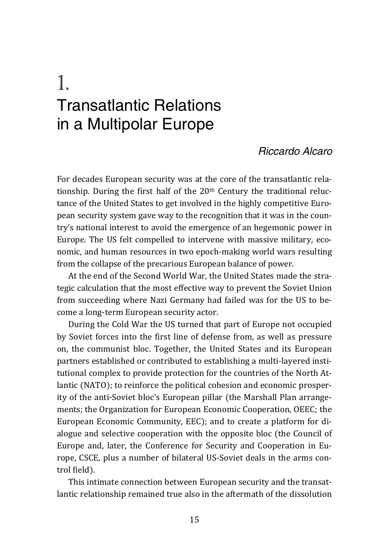# 1. Transatlantic Relations in a Multipolar Europe

#### *Riccardo Alcaro*

For decades European security was at the core of the transatlantic relationship. During the first half of the 20th Century the traditional reluctance of the United States to get involved in the highly competitive European security system gave way to the recognition that it was in the country's national interest to avoid the emergence of an hegemonic power in Europe. The US felt compelled to intervene with massive military, economic, and human resources in two epoch-making world wars resulting from the collapse of the precarious European balance of power.

At the end of the Second World War, the United States made the strategic calculation that the most effective way to prevent the Soviet Union from succeeding where Nazi Germany had failed was for the US to become a long-term European security actor.

During the Cold War the US turned that part of Europe not occupied by Soviet forces into the first line of defense from, as well as pressure on, the communist bloc. Together, the United States and its European partners established or contributed to establishing a multi-layered institutional complex to provide protection for the countries of the North Atlantic (NATO); to reinforce the political cohesion and economic prosperity of the anti-Soviet bloc's European pillar (the Marshall Plan arrangements; the Organization for European Economic Cooperation, OEEC; the European Economic Community, EEC); and to create a platform for dialogue and selective cooperation with the opposite bloc (the Council of Europe and, later, the Conference for Security and Cooperation in Europe, CSCE, plus a number of bilateral US-Soviet deals in the arms control field).

This intimate connection between European security and the transatlantic relationship remained true also in the aftermath of the dissolution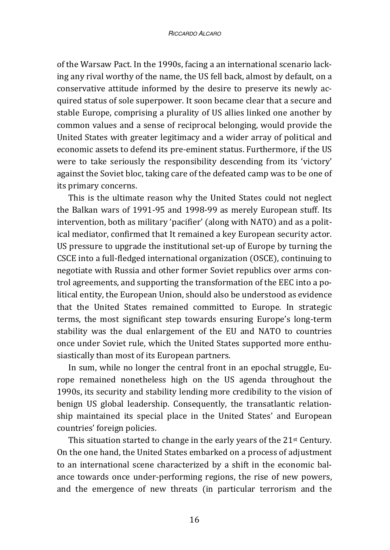of the Warsaw Pact. In the 1990s, facing a an international scenario lacking any rival worthy of the name, the US fell back, almost by default, on a conservative attitude informed by the desire to preserve its newly acquired status of sole superpower. It soon became clear that a secure and stable Europe, comprising a plurality of US allies linked one another by common values and a sense of reciprocal belonging, would provide the United States with greater legitimacy and a wider array of political and economic assets to defend its pre-eminent status. Furthermore, if the US were to take seriously the responsibility descending from its 'victory' against the Soviet bloc, taking care of the defeated camp was to be one of its primary concerns.

This is the ultimate reason why the United States could not neglect the Balkan wars of 1991-95 and 1998-99 as merely European stuff. Its intervention, both as military 'pacifier' (along with NATO) and as a political mediator, confirmed that It remained a key European security actor. US pressure to upgrade the institutional set-up of Europe by turning the CSCE into a full-fledged international organization (OSCE), continuing to negotiate with Russia and other former Soviet republics over arms control agreements, and supporting the transformation of the EEC into a political entity, the European Union, should also be understood as evidence that the United States remained committed to Europe. In strategic terms, the most significant step towards ensuring Europe's long-term stability was the dual enlargement of the EU and NATO to countries once under Soviet rule, which the United States supported more enthusiastically than most of its European partners.

In sum, while no longer the central front in an epochal struggle, Europe remained nonetheless high on the US agenda throughout the 1990s, its security and stability lending more credibility to the vision of benign US global leadership. Consequently, the transatlantic relationship maintained its special place in the United States' and European countries' foreign policies.

This situation started to change in the early years of the 21<sup>st</sup> Century. On the one hand, the United States embarked on a process of adjustment to an international scene characterized by a shift in the economic balance towards once under-performing regions, the rise of new powers, and the emergence of new threats (in particular terrorism and the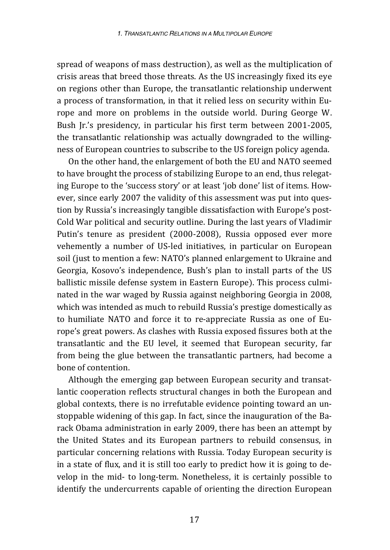spread of weapons of mass destruction), as well as the multiplication of crisis areas that breed those threats. As the US increasingly fixed its eye on regions other than Europe, the transatlantic relationship underwent a process of transformation, in that it relied less on security within Europe and more on problems in the outside world. During George W. Bush Jr.'s presidency, in particular his first term between 2001-2005, the transatlantic relationship was actually downgraded to the willingness of European countries to subscribe to the US foreign policy agenda.

On the other hand, the enlargement of both the EU and NATO seemed to have brought the process of stabilizing Europe to an end, thus relegating Europe to the 'success story' or at least 'job done' list of items. However, since early 2007 the validity of this assessment was put into question by Russia's increasingly tangible dissatisfaction with Europe's post-Cold War political and security outline. During the last years of Vladimir Putin's tenure as president (2000-2008), Russia opposed ever more vehemently a number of US-led initiatives, in particular on European soil (just to mention a few: NATO's planned enlargement to Ukraine and Georgia, Kosovo's independence, Bush's plan to install parts of the US ballistic missile defense system in Eastern Europe). This process culminated in the war waged by Russia against neighboring Georgia in 2008, which was intended as much to rebuild Russia's prestige domestically as to humiliate NATO and force it to re-appreciate Russia as one of Europe's great powers. As clashes with Russia exposed fissures both at the transatlantic and the EU level, it seemed that European security, far from being the glue between the transatlantic partners, had become a bone of contention.

Although the emerging gap between European security and transatlantic cooperation reflects structural changes in both the European and global contexts, there is no irrefutable evidence pointing toward an unstoppable widening of this gap. In fact, since the inauguration of the Barack Obama administration in early 2009, there has been an attempt by the United States and its European partners to rebuild consensus, in particular concerning relations with Russia. Today European security is in a state of flux, and it is still too early to predict how it is going to develop in the mid- to long-term. Nonetheless, it is certainly possible to identify the undercurrents capable of orienting the direction European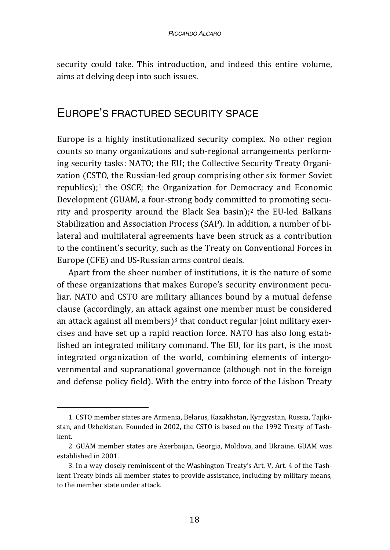security could take. This introduction, and indeed this entire volume, aims at delving deep into such issues.

#### EUROPE'S FRACTURED SECURITY SPACE

Europe is a highly institutionalized security complex. No other region counts so many organizations and sub-regional arrangements performing security tasks: NATO; the EU; the Collective Security Treaty Organization (CSTO, the Russian-led group comprising other six former Soviet republics); $<sup>1</sup>$  the OSCE; the Organization for Democracy and Economic</sup> Development (GUAM, a four-strong body committed to promoting security and prosperity around the Black Sea basin);2 the EU-led Balkans Stabilization and Association Process (SAP). In addition, a number of bilateral and multilateral agreements have been struck as a contribution to the continent's security, such as the Treaty on Conventional Forces in Europe (CFE) and US-Russian arms control deals.

Apart from the sheer number of institutions, it is the nature of some of these organizations that makes Europe's security environment peculiar. NATO and CSTO are military alliances bound by a mutual defense clause (accordingly, an attack against one member must be considered an attack against all members)<sup>3</sup> that conduct regular joint military exercises and have set up a rapid reaction force. NATO has also long established an integrated military command. The EU, for its part, is the most integrated organization of the world, combining elements of intergovernmental and supranational governance (although not in the foreign and defense policy field). With the entry into force of the Lisbon Treaty

<sup>1.</sup> CSTO member states are Armenia, Belarus, Kazakhstan, Kyrgyzstan, Russia, Tajikistan, and Uzbekistan. Founded in 2002, the CSTO is based on the 1992 Treaty of Tashkent.

<sup>2.</sup> GUAM member states are Azerbaijan, Georgia, Moldova, and Ukraine. GUAM was established in 2001.

<sup>3.</sup> In a way closely reminiscent of the Washington Treaty's Art. V, Art. 4 of the Tashkent Treaty binds all member states to provide assistance, including by military means, to the member state under attack.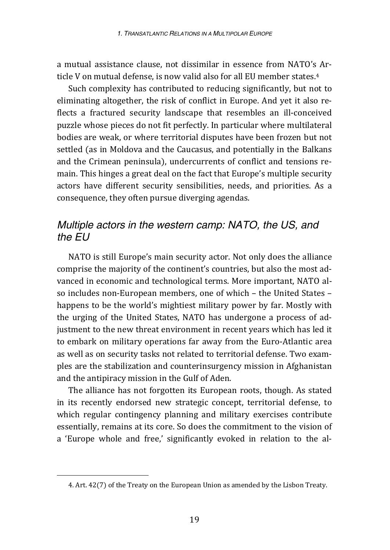a mutual assistance clause, not dissimilar in essence from NATO's Article V on mutual defense, is now valid also for all EU member states.4

Such complexity has contributed to reducing significantly, but not to eliminating altogether, the risk of conflict in Europe. And yet it also reflects a fractured security landscape that resembles an ill-conceived puzzle whose pieces do not fit perfectly. In particular where multilateral bodies are weak, or where territorial disputes have been frozen but not settled (as in Moldova and the Caucasus, and potentially in the Balkans and the Crimean peninsula), undercurrents of conflict and tensions remain. This hinges a great deal on the fact that Europe's multiple security actors have different security sensibilities, needs, and priorities. As a consequence, they often pursue diverging agendas.

# *Multiple actors in the western camp: NATO, the US, and the EU*

NATO is still Europe's main security actor. Not only does the alliance comprise the majority of the continent's countries, but also the most advanced in economic and technological terms. More important, NATO also includes non-European members, one of which – the United States – happens to be the world's mightiest military power by far. Mostly with the urging of the United States, NATO has undergone a process of adjustment to the new threat environment in recent years which has led it to embark on military operations far away from the Euro-Atlantic area as well as on security tasks not related to territorial defense. Two examples are the stabilization and counterinsurgency mission in Afghanistan and the antipiracy mission in the Gulf of Aden.

The alliance has not forgotten its European roots, though. As stated in its recently endorsed new strategic concept, territorial defense, to which regular contingency planning and military exercises contribute essentially, remains at its core. So does the commitment to the vision of a 'Europe whole and free,' significantly evoked in relation to the al-

<sup>4.</sup> Art. 42(7) of the Treaty on the European Union as amended by the Lisbon Treaty.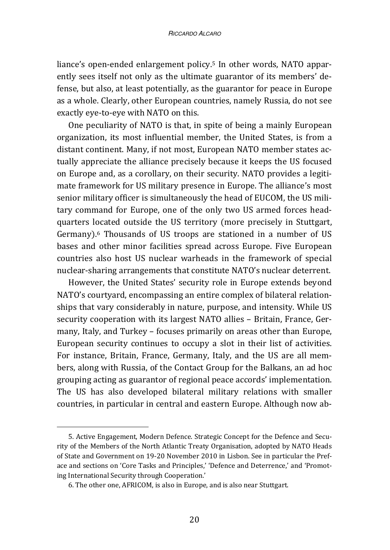liance's open-ended enlargement policy.5 In other words, NATO apparently sees itself not only as the ultimate guarantor of its members' defense, but also, at least potentially, as the guarantor for peace in Europe as a whole. Clearly, other European countries, namely Russia, do not see exactly eye-to-eye with NATO on this.

One peculiarity of NATO is that, in spite of being a mainly European organization, its most influential member, the United States, is from a distant continent. Many, if not most, European NATO member states actually appreciate the alliance precisely because it keeps the US focused on Europe and, as a corollary, on their security. NATO provides a legitimate framework for US military presence in Europe. The alliance's most senior military officer is simultaneously the head of EUCOM, the US military command for Europe, one of the only two US armed forces headquarters located outside the US territory (more precisely in Stuttgart, Germany).6 Thousands of US troops are stationed in a number of US bases and other minor facilities spread across Europe. Five European countries also host US nuclear warheads in the framework of special nuclear-sharing arrangements that constitute NATO's nuclear deterrent.

However, the United States' security role in Europe extends beyond NATO's courtyard, encompassing an entire complex of bilateral relationships that vary considerably in nature, purpose, and intensity. While US security cooperation with its largest NATO allies – Britain, France, Germany, Italy, and Turkey – focuses primarily on areas other than Europe, European security continues to occupy a slot in their list of activities. For instance, Britain, France, Germany, Italy, and the US are all members, along with Russia, of the Contact Group for the Balkans, an ad hoc grouping acting as guarantor of regional peace accords' implementation. The US has also developed bilateral military relations with smaller countries, in particular in central and eastern Europe. Although now ab-

<sup>5.</sup> Active Engagement, Modern Defence. Strategic Concept for the Defence and Security of the Members of the North Atlantic Treaty Organisation, adopted by NATO Heads of State and Government on 19-20 November 2010 in Lisbon. See in particular the Preface and sections on 'Core Tasks and Principles,' 'Defence and Deterrence,' and 'Promoting International Security through Cooperation.'

<sup>6.</sup> The other one, AFRICOM, is also in Europe, and is also near Stuttgart.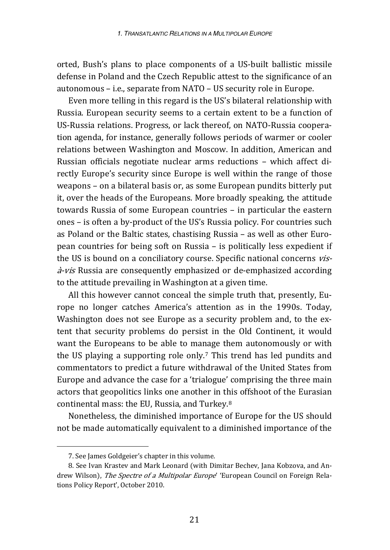orted, Bush's plans to place components of a US-built ballistic missile defense in Poland and the Czech Republic attest to the significance of an autonomous – i.e., separate from NATO – US security role in Europe.

Even more telling in this regard is the US's bilateral relationship with Russia. European security seems to a certain extent to be a function of US-Russia relations. Progress, or lack thereof, on NATO-Russia cooperation agenda, for instance, generally follows periods of warmer or cooler relations between Washington and Moscow. In addition, American and Russian officials negotiate nuclear arms reductions – which affect directly Europe's security since Europe is well within the range of those weapons – on a bilateral basis or, as some European pundits bitterly put it, over the heads of the Europeans. More broadly speaking, the attitude towards Russia of some European countries – in particular the eastern ones – is often a by-product of the US's Russia policy. For countries such as Poland or the Baltic states, chastising Russia – as well as other European countries for being soft on Russia – is politically less expedient if the US is bound on a conciliatory course. Specific national concerns vis- $\frac{\partial z}{\partial r}$  also are consequently emphasized or de-emphasized according to the attitude prevailing in Washington at a given time.

All this however cannot conceal the simple truth that, presently, Europe no longer catches America's attention as in the 1990s. Today, Washington does not see Europe as a security problem and, to the extent that security problems do persist in the Old Continent, it would want the Europeans to be able to manage them autonomously or with the US playing a supporting role only.7 This trend has led pundits and commentators to predict a future withdrawal of the United States from Europe and advance the case for a 'trialogue' comprising the three main actors that geopolitics links one another in this offshoot of the Eurasian continental mass: the EU, Russia, and Turkey.8

Nonetheless, the diminished importance of Europe for the US should not be made automatically equivalent to a diminished importance of the

<sup>7.</sup> See James Goldgeier's chapter in this volume.

<sup>8.</sup> See Ivan Krastev and Mark Leonard (with Dimitar Bechev, Jana Kobzova, and Andrew Wilson), The Spectre of a Multipolar Europe' 'European Council on Foreign Relations Policy Report', October 2010.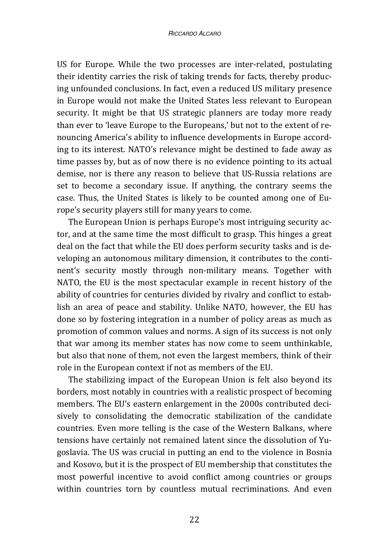US for Europe. While the two processes are inter-related, postulating their identity carries the risk of taking trends for facts, thereby producing unfounded conclusions. In fact, even a reduced US military presence in Europe would not make the United States less relevant to European security. It might be that US strategic planners are today more ready than ever to 'leave Europe to the Europeans,' but not to the extent of renouncing America's ability to influence developments in Europe according to its interest. NATO's relevance might be destined to fade away as time passes by, but as of now there is no evidence pointing to its actual demise, nor is there any reason to believe that US-Russia relations are set to become a secondary issue. If anything, the contrary seems the case. Thus, the United States is likely to be counted among one of Europe's security players still for many years to come.

The European Union is perhaps Europe's most intriguing security actor, and at the same time the most difficult to grasp. This hinges a great deal on the fact that while the EU does perform security tasks and is developing an autonomous military dimension, it contributes to the continent's security mostly through non-military means. Together with NATO, the EU is the most spectacular example in recent history of the ability of countries for centuries divided by rivalry and conflict to establish an area of peace and stability. Unlike NATO, however, the EU has done so by fostering integration in a number of policy areas as much as promotion of common values and norms. A sign of its success is not only that war among its member states has now come to seem unthinkable, but also that none of them, not even the largest members, think of their role in the European context if not as members of the EU.

The stabilizing impact of the European Union is felt also beyond its borders, most notably in countries with a realistic prospect of becoming members. The EU's eastern enlargement in the 2000s contributed decisively to consolidating the democratic stabilization of the candidate countries. Even more telling is the case of the Western Balkans, where tensions have certainly not remained latent since the dissolution of Yugoslavia. The US was crucial in putting an end to the violence in Bosnia and Kosovo, but it is the prospect of EU membership that constitutes the most powerful incentive to avoid conflict among countries or groups within countries torn by countless mutual recriminations. And even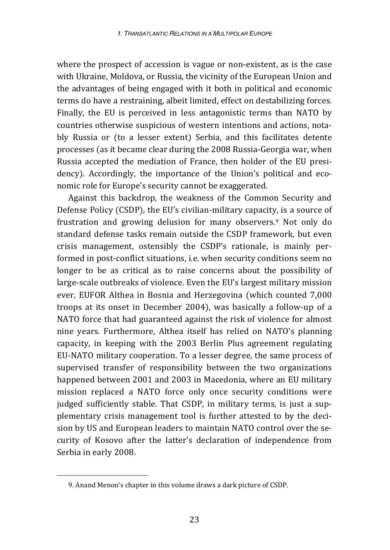where the prospect of accession is vague or non-existent, as is the case with Ukraine, Moldova, or Russia, the vicinity of the European Union and the advantages of being engaged with it both in political and economic terms do have a restraining, albeit limited, effect on destabilizing forces. Finally, the EU is perceived in less antagonistic terms than NATO by countries otherwise suspicious of western intentions and actions, notably Russia or (to a lesser extent) Serbia, and this facilitates detente processes (as it became clear during the 2008 Russia-Georgia war, when Russia accepted the mediation of France, then holder of the EU presidency). Accordingly, the importance of the Union's political and economic role for Europe's security cannot be exaggerated.

Against this backdrop, the weakness of the Common Security and Defense Policy (CSDP), the EU's civilian-military capacity, is a source of frustration and growing delusion for many observers.9 Not only do standard defense tasks remain outside the CSDP framework, but even crisis management, ostensibly the CSDP's rationale, is mainly performed in post-conflict situations, i.e. when security conditions seem no longer to be as critical as to raise concerns about the possibility of large-scale outbreaks of violence. Even the EU's largest military mission ever, EUFOR Althea in Bosnia and Herzegovina (which counted 7,000 troops at its onset in December 2004), was basically a follow-up of a NATO force that had guaranteed against the risk of violence for almost nine years. Furthermore, Althea itself has relied on NATO's planning capacity, in keeping with the 2003 Berlin Plus agreement regulating EU-NATO military cooperation. To a lesser degree, the same process of supervised transfer of responsibility between the two organizations happened between 2001 and 2003 in Macedonia, where an EU military mission replaced a NATO force only once security conditions were judged sufficiently stable. That CSDP, in military terms, is just a supplementary crisis management tool is further attested to by the decision by US and European leaders to maintain NATO control over the security of Kosovo after the latter's declaration of independence from Serbia in early 2008.

<sup>9.</sup> Anand Menon's chapter in this volume draws a dark picture of CSDP.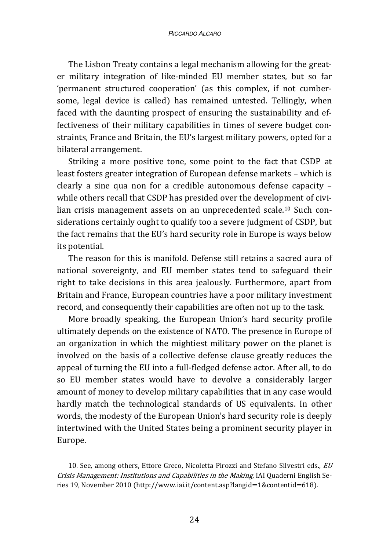The Lisbon Treaty contains a legal mechanism allowing for the greater military integration of like-minded EU member states, but so far 'permanent structured cooperation' (as this complex, if not cumbersome, legal device is called) has remained untested. Tellingly, when faced with the daunting prospect of ensuring the sustainability and effectiveness of their military capabilities in times of severe budget constraints, France and Britain, the EU's largest military powers, opted for a bilateral arrangement.

Striking a more positive tone, some point to the fact that CSDP at least fosters greater integration of European defense markets – which is clearly a sine qua non for a credible autonomous defense capacity – while others recall that CSDP has presided over the development of civilian crisis management assets on an unprecedented scale.10 Such considerations certainly ought to qualify too a severe judgment of CSDP, but the fact remains that the EU's hard security role in Europe is ways below its potential.

The reason for this is manifold. Defense still retains a sacred aura of national sovereignty, and EU member states tend to safeguard their right to take decisions in this area jealously. Furthermore, apart from Britain and France, European countries have a poor military investment record, and consequently their capabilities are often not up to the task.

More broadly speaking, the European Union's hard security profile ultimately depends on the existence of NATO. The presence in Europe of an organization in which the mightiest military power on the planet is involved on the basis of a collective defense clause greatly reduces the appeal of turning the EU into a full-fledged defense actor. After all, to do so EU member states would have to devolve a considerably larger amount of money to develop military capabilities that in any case would hardly match the technological standards of US equivalents. In other words, the modesty of the European Union's hard security role is deeply intertwined with the United States being a prominent security player in Europe.

<sup>10.</sup> See, among others, Ettore Greco, Nicoletta Pirozzi and Stefano Silvestri eds., EU Crisis Management: Institutions and Capabilities in the Making, IAI Quaderni English Series 19, November 2010 (http://www.iai.it/content.asp?langid=1&contentid=618).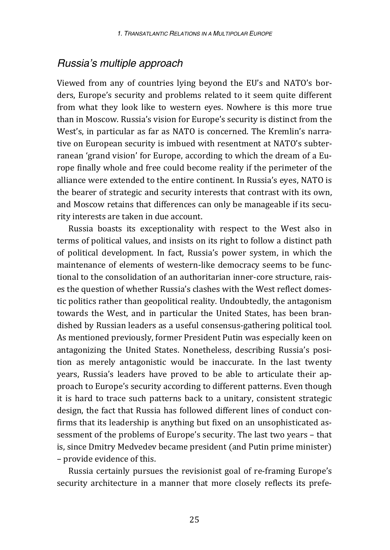#### *Russia's multiple approach*

Viewed from any of countries lying beyond the EU's and NATO's borders, Europe's security and problems related to it seem quite different from what they look like to western eyes. Nowhere is this more true than in Moscow. Russia's vision for Europe's security is distinct from the West's, in particular as far as NATO is concerned. The Kremlin's narrative on European security is imbued with resentment at NATO's subterranean 'grand vision' for Europe, according to which the dream of a Europe finally whole and free could become reality if the perimeter of the alliance were extended to the entire continent. In Russia's eyes, NATO is the bearer of strategic and security interests that contrast with its own, and Moscow retains that differences can only be manageable if its security interests are taken in due account.

Russia boasts its exceptionality with respect to the West also in terms of political values, and insists on its right to follow a distinct path of political development. In fact, Russia's power system, in which the maintenance of elements of western-like democracy seems to be functional to the consolidation of an authoritarian inner-core structure, raises the question of whether Russia's clashes with the West reflect domestic politics rather than geopolitical reality. Undoubtedly, the antagonism towards the West, and in particular the United States, has been brandished by Russian leaders as a useful consensus-gathering political tool. As mentioned previously, former President Putin was especially keen on antagonizing the United States. Nonetheless, describing Russia's position as merely antagonistic would be inaccurate. In the last twenty years, Russia's leaders have proved to be able to articulate their approach to Europe's security according to different patterns. Even though it is hard to trace such patterns back to a unitary, consistent strategic design, the fact that Russia has followed different lines of conduct confirms that its leadership is anything but fixed on an unsophisticated assessment of the problems of Europe's security. The last two years – that is, since Dmitry Medvedev became president (and Putin prime minister) – provide evidence of this.

Russia certainly pursues the revisionist goal of re-framing Europe's security architecture in a manner that more closely reflects its prefe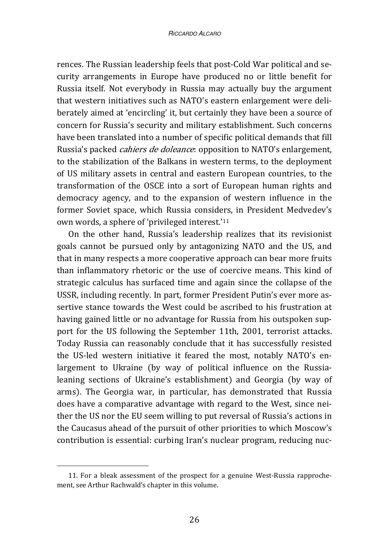rences. The Russian leadership feels that post-Cold War political and security arrangements in Europe have produced no or little benefit for Russia itself. Not everybody in Russia may actually buy the argument that western initiatives such as NATO's eastern enlargement were deliberately aimed at 'encircling' it, but certainly they have been a source of concern for Russia's security and military establishment. Such concerns have been translated into a number of specific political demands that fill Russia's packed *cahiers de doleance*: opposition to NATO's enlargement, to the stabilization of the Balkans in western terms, to the deployment of US military assets in central and eastern European countries, to the transformation of the OSCE into a sort of European human rights and democracy agency, and to the expansion of western influence in the former Soviet space, which Russia considers, in President Medvedev's own words, a sphere of 'privileged interest.'11

On the other hand, Russia's leadership realizes that its revisionist goals cannot be pursued only by antagonizing NATO and the US, and that in many respects a more cooperative approach can bear more fruits than inflammatory rhetoric or the use of coercive means. This kind of strategic calculus has surfaced time and again since the collapse of the USSR, including recently. In part, former President Putin's ever more assertive stance towards the West could be ascribed to his frustration at having gained little or no advantage for Russia from his outspoken support for the US following the September 11th, 2001, terrorist attacks. Today Russia can reasonably conclude that it has successfully resisted the US-led western initiative it feared the most, notably NATO's enlargement to Ukraine (by way of political influence on the Russialeaning sections of Ukraine's establishment) and Georgia (by way of arms). The Georgia war, in particular, has demonstrated that Russia does have a comparative advantage with regard to the West, since neither the US nor the EU seem willing to put reversal of Russia's actions in the Caucasus ahead of the pursuit of other priorities to which Moscow's contribution is essential: curbing Iran's nuclear program, reducing nuc-

<sup>11.</sup> For a bleak assessment of the prospect for a genuine West-Russia rapprochement, see Arthur Rachwald's chapter in this volume.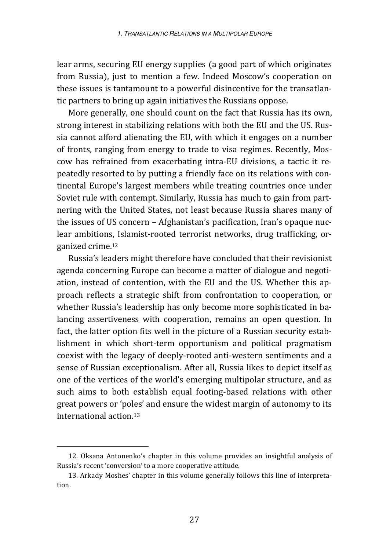lear arms, securing EU energy supplies (a good part of which originates from Russia), just to mention a few. Indeed Moscow's cooperation on these issues is tantamount to a powerful disincentive for the transatlantic partners to bring up again initiatives the Russians oppose.

More generally, one should count on the fact that Russia has its own, strong interest in stabilizing relations with both the EU and the US. Russia cannot afford alienating the EU, with which it engages on a number of fronts, ranging from energy to trade to visa regimes. Recently, Moscow has refrained from exacerbating intra-EU divisions, a tactic it repeatedly resorted to by putting a friendly face on its relations with continental Europe's largest members while treating countries once under Soviet rule with contempt. Similarly, Russia has much to gain from partnering with the United States, not least because Russia shares many of the issues of US concern – Afghanistan's pacification, Iran's opaque nuclear ambitions, Islamist-rooted terrorist networks, drug trafficking, organized crime.12

Russia's leaders might therefore have concluded that their revisionist agenda concerning Europe can become a matter of dialogue and negotiation, instead of contention, with the EU and the US. Whether this approach reflects a strategic shift from confrontation to cooperation, or whether Russia's leadership has only become more sophisticated in balancing assertiveness with cooperation, remains an open question. In fact, the latter option fits well in the picture of a Russian security establishment in which short-term opportunism and political pragmatism coexist with the legacy of deeply-rooted anti-western sentiments and a sense of Russian exceptionalism. After all, Russia likes to depict itself as one of the vertices of the world's emerging multipolar structure, and as such aims to both establish equal footing-based relations with other great powers or 'poles' and ensure the widest margin of autonomy to its international action.13

<sup>12.</sup> Oksana Antonenko's chapter in this volume provides an insightful analysis of Russia's recent 'conversion' to a more cooperative attitude.

<sup>13.</sup> Arkady Moshes' chapter in this volume generally follows this line of interpretation.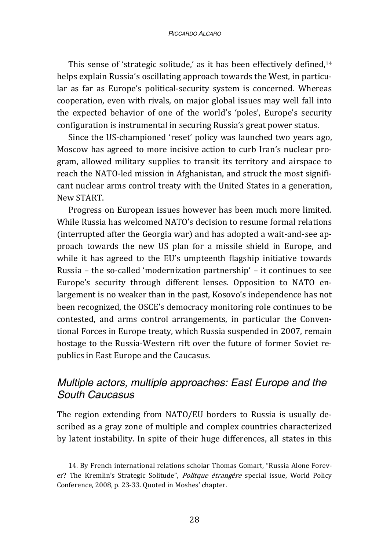This sense of 'strategic solitude,' as it has been effectively defined,<sup>14</sup> helps explain Russia's oscillating approach towards the West, in particular as far as Europe's political-security system is concerned. Whereas cooperation, even with rivals, on major global issues may well fall into the expected behavior of one of the world's 'poles', Europe's security configuration is instrumental in securing Russia's great power status.

Since the US-championed 'reset' policy was launched two years ago, Moscow has agreed to more incisive action to curb Iran's nuclear program, allowed military supplies to transit its territory and airspace to reach the NATO-led mission in Afghanistan, and struck the most significant nuclear arms control treaty with the United States in a generation, New START.

Progress on European issues however has been much more limited. While Russia has welcomed NATO's decision to resume formal relations (interrupted after the Georgia war) and has adopted a wait-and-see approach towards the new US plan for a missile shield in Europe, and while it has agreed to the EU's umpteenth flagship initiative towards Russia – the so-called 'modernization partnership' – it continues to see Europe's security through different lenses. Opposition to NATO enlargement is no weaker than in the past, Kosovo's independence has not been recognized, the OSCE's democracy monitoring role continues to be contested, and arms control arrangements, in particular the Conventional Forces in Europe treaty, which Russia suspended in 2007, remain hostage to the Russia-Western rift over the future of former Soviet republics in East Europe and the Caucasus.

# *Multiple actors, multiple approaches: East Europe and the South Caucasus*

The region extending from NATO/EU borders to Russia is usually described as a gray zone of multiple and complex countries characterized by latent instability. In spite of their huge differences, all states in this

<sup>14.</sup> By French international relations scholar Thomas Gomart, "Russia Alone Forever? The Kremlin's Strategic Solitude", Politque étrangère special issue, World Policy Conference, 2008, p. 23-33. Quoted in Moshes' chapter.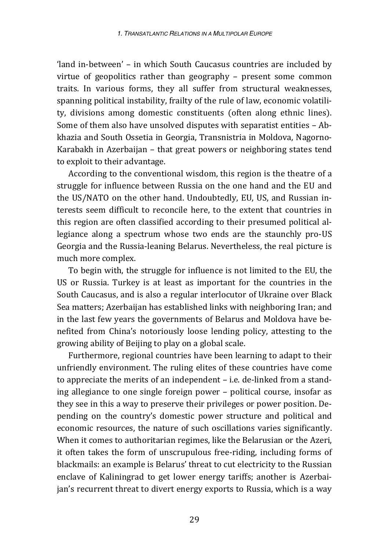'land in-between' – in which South Caucasus countries are included by virtue of geopolitics rather than geography – present some common traits. In various forms, they all suffer from structural weaknesses, spanning political instability, frailty of the rule of law, economic volatility, divisions among domestic constituents (often along ethnic lines). Some of them also have unsolved disputes with separatist entities – Abkhazia and South Ossetia in Georgia, Transnistria in Moldova, Nagorno-Karabakh in Azerbaijan – that great powers or neighboring states tend to exploit to their advantage.

According to the conventional wisdom, this region is the theatre of a struggle for influence between Russia on the one hand and the EU and the US/NATO on the other hand. Undoubtedly, EU, US, and Russian interests seem difficult to reconcile here, to the extent that countries in this region are often classified according to their presumed political allegiance along a spectrum whose two ends are the staunchly pro-US Georgia and the Russia-leaning Belarus. Nevertheless, the real picture is much more complex.

To begin with, the struggle for influence is not limited to the EU, the US or Russia. Turkey is at least as important for the countries in the South Caucasus, and is also a regular interlocutor of Ukraine over Black Sea matters; Azerbaijan has established links with neighboring Iran; and in the last few years the governments of Belarus and Moldova have benefited from China's notoriously loose lending policy, attesting to the growing ability of Beijing to play on a global scale.

Furthermore, regional countries have been learning to adapt to their unfriendly environment. The ruling elites of these countries have come to appreciate the merits of an independent – i.e. de-linked from a standing allegiance to one single foreign power – political course, insofar as they see in this a way to preserve their privileges or power position. Depending on the country's domestic power structure and political and economic resources, the nature of such oscillations varies significantly. When it comes to authoritarian regimes, like the Belarusian or the Azeri, it often takes the form of unscrupulous free-riding, including forms of blackmails: an example is Belarus' threat to cut electricity to the Russian enclave of Kaliningrad to get lower energy tariffs; another is Azerbaijan's recurrent threat to divert energy exports to Russia, which is a way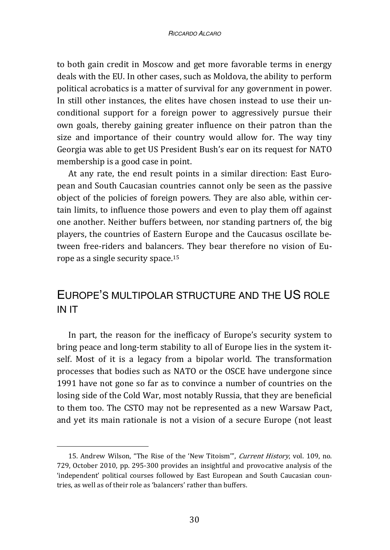to both gain credit in Moscow and get more favorable terms in energy deals with the EU. In other cases, such as Moldova, the ability to perform political acrobatics is a matter of survival for any government in power. In still other instances, the elites have chosen instead to use their unconditional support for a foreign power to aggressively pursue their own goals, thereby gaining greater influence on their patron than the size and importance of their country would allow for. The way tiny Georgia was able to get US President Bush's ear on its request for NATO membership is a good case in point.

At any rate, the end result points in a similar direction: East European and South Caucasian countries cannot only be seen as the passive object of the policies of foreign powers. They are also able, within certain limits, to influence those powers and even to play them off against one another. Neither buffers between, nor standing partners of, the big players, the countries of Eastern Europe and the Caucasus oscillate between free-riders and balancers. They bear therefore no vision of Europe as a single security space.15

# EUROPE'S MULTIPOLAR STRUCTURE AND THE US ROLE IN IT

In part, the reason for the inefficacy of Europe's security system to bring peace and long-term stability to all of Europe lies in the system itself. Most of it is a legacy from a bipolar world. The transformation processes that bodies such as NATO or the OSCE have undergone since 1991 have not gone so far as to convince a number of countries on the losing side of the Cold War, most notably Russia, that they are beneficial to them too. The CSTO may not be represented as a new Warsaw Pact, and yet its main rationale is not a vision of a secure Europe (not least

<sup>15.</sup> Andrew Wilson, "The Rise of the 'New Titoism'", Current History, vol. 109, no. 729, October 2010, pp. 295-300 provides an insightful and provocative analysis of the 'independent' political courses followed by East European and South Caucasian countries, as well as of their role as 'balancers' rather than buffers.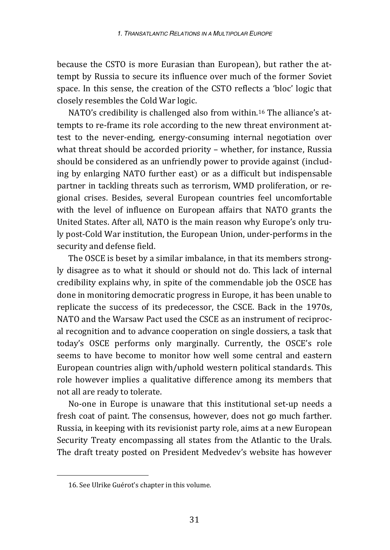because the CSTO is more Eurasian than European), but rather the attempt by Russia to secure its influence over much of the former Soviet space. In this sense, the creation of the CSTO reflects a 'bloc' logic that closely resembles the Cold War logic.

NATO's credibility is challenged also from within.16 The alliance's attempts to re-frame its role according to the new threat environment attest to the never-ending, energy-consuming internal negotiation over what threat should be accorded priority – whether, for instance, Russia should be considered as an unfriendly power to provide against (including by enlarging NATO further east) or as a difficult but indispensable partner in tackling threats such as terrorism, WMD proliferation, or regional crises. Besides, several European countries feel uncomfortable with the level of influence on European affairs that NATO grants the United States. After all, NATO is the main reason why Europe's only truly post-Cold War institution, the European Union, under-performs in the security and defense field.

The OSCE is beset by a similar imbalance, in that its members strongly disagree as to what it should or should not do. This lack of internal credibility explains why, in spite of the commendable job the OSCE has done in monitoring democratic progress in Europe, it has been unable to replicate the success of its predecessor, the CSCE. Back in the 1970s, NATO and the Warsaw Pact used the CSCE as an instrument of reciprocal recognition and to advance cooperation on single dossiers, a task that today's OSCE performs only marginally. Currently, the OSCE's role seems to have become to monitor how well some central and eastern European countries align with/uphold western political standards. This role however implies a qualitative difference among its members that not all are ready to tolerate.

No-one in Europe is unaware that this institutional set-up needs a fresh coat of paint. The consensus, however, does not go much farther. Russia, in keeping with its revisionist party role, aims at a new European Security Treaty encompassing all states from the Atlantic to the Urals. The draft treaty posted on President Medvedev's website has however

<sup>16.</sup> See Ulrike Guérot's chapter in this volume.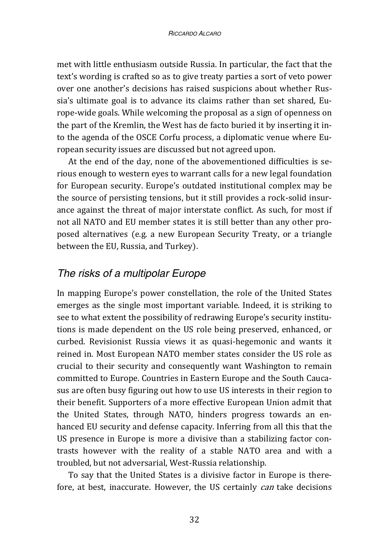met with little enthusiasm outside Russia. In particular, the fact that the text's wording is crafted so as to give treaty parties a sort of veto power over one another's decisions has raised suspicions about whether Russia's ultimate goal is to advance its claims rather than set shared, Europe-wide goals. While welcoming the proposal as a sign of openness on the part of the Kremlin, the West has de facto buried it by inserting it into the agenda of the OSCE Corfu process, a diplomatic venue where European security issues are discussed but not agreed upon.

At the end of the day, none of the abovementioned difficulties is serious enough to western eyes to warrant calls for a new legal foundation for European security. Europe's outdated institutional complex may be the source of persisting tensions, but it still provides a rock-solid insurance against the threat of major interstate conflict. As such, for most if not all NATO and EU member states it is still better than any other proposed alternatives (e.g. a new European Security Treaty, or a triangle between the EU, Russia, and Turkey).

#### *The risks of a multipolar Europe*

In mapping Europe's power constellation, the role of the United States emerges as the single most important variable. Indeed, it is striking to see to what extent the possibility of redrawing Europe's security institutions is made dependent on the US role being preserved, enhanced, or curbed. Revisionist Russia views it as quasi-hegemonic and wants it reined in. Most European NATO member states consider the US role as crucial to their security and consequently want Washington to remain committed to Europe. Countries in Eastern Europe and the South Caucasus are often busy figuring out how to use US interests in their region to their benefit. Supporters of a more effective European Union admit that the United States, through NATO, hinders progress towards an enhanced EU security and defense capacity. Inferring from all this that the US presence in Europe is more a divisive than a stabilizing factor contrasts however with the reality of a stable NATO area and with a troubled, but not adversarial, West-Russia relationship.

To say that the United States is a divisive factor in Europe is therefore, at best, inaccurate. However, the US certainly *can* take decisions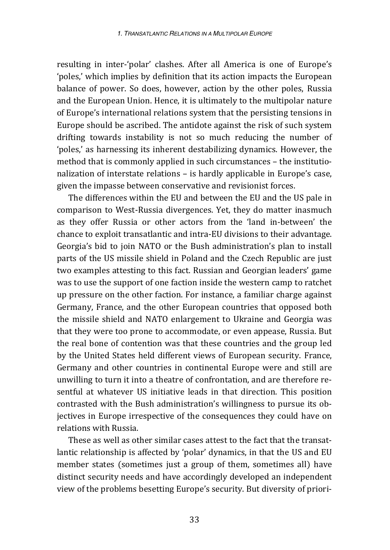resulting in inter-'polar' clashes. After all America is one of Europe's 'poles,' which implies by definition that its action impacts the European balance of power. So does, however, action by the other poles, Russia and the European Union. Hence, it is ultimately to the multipolar nature of Europe's international relations system that the persisting tensions in Europe should be ascribed. The antidote against the risk of such system drifting towards instability is not so much reducing the number of 'poles,' as harnessing its inherent destabilizing dynamics. However, the method that is commonly applied in such circumstances – the institutionalization of interstate relations – is hardly applicable in Europe's case, given the impasse between conservative and revisionist forces.

The differences within the EU and between the EU and the US pale in comparison to West-Russia divergences. Yet, they do matter inasmuch as they offer Russia or other actors from the 'land in-between' the chance to exploit transatlantic and intra-EU divisions to their advantage. Georgia's bid to join NATO or the Bush administration's plan to install parts of the US missile shield in Poland and the Czech Republic are just two examples attesting to this fact. Russian and Georgian leaders' game was to use the support of one faction inside the western camp to ratchet up pressure on the other faction. For instance, a familiar charge against Germany, France, and the other European countries that opposed both the missile shield and NATO enlargement to Ukraine and Georgia was that they were too prone to accommodate, or even appease, Russia. But the real bone of contention was that these countries and the group led by the United States held different views of European security. France, Germany and other countries in continental Europe were and still are unwilling to turn it into a theatre of confrontation, and are therefore resentful at whatever US initiative leads in that direction. This position contrasted with the Bush administration's willingness to pursue its objectives in Europe irrespective of the consequences they could have on relations with Russia.

These as well as other similar cases attest to the fact that the transatlantic relationship is affected by 'polar' dynamics, in that the US and EU member states (sometimes just a group of them, sometimes all) have distinct security needs and have accordingly developed an independent view of the problems besetting Europe's security. But diversity of priori-

33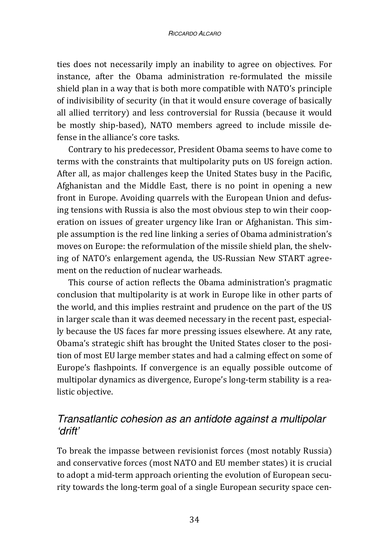ties does not necessarily imply an inability to agree on objectives. For instance, after the Obama administration re-formulated the missile shield plan in a way that is both more compatible with NATO's principle of indivisibility of security (in that it would ensure coverage of basically all allied territory) and less controversial for Russia (because it would be mostly ship-based), NATO members agreed to include missile defense in the alliance's core tasks.

Contrary to his predecessor, President Obama seems to have come to terms with the constraints that multipolarity puts on US foreign action. After all, as major challenges keep the United States busy in the Pacific, Afghanistan and the Middle East, there is no point in opening a new front in Europe. Avoiding quarrels with the European Union and defusing tensions with Russia is also the most obvious step to win their cooperation on issues of greater urgency like Iran or Afghanistan. This simple assumption is the red line linking a series of Obama administration's moves on Europe: the reformulation of the missile shield plan, the shelving of NATO's enlargement agenda, the US-Russian New START agreement on the reduction of nuclear warheads.

This course of action reflects the Obama administration's pragmatic conclusion that multipolarity is at work in Europe like in other parts of the world, and this implies restraint and prudence on the part of the US in larger scale than it was deemed necessary in the recent past, especially because the US faces far more pressing issues elsewhere. At any rate, Obama's strategic shift has brought the United States closer to the position of most EU large member states and had a calming effect on some of Europe's flashpoints. If convergence is an equally possible outcome of multipolar dynamics as divergence, Europe's long-term stability is a realistic objective.

# *Transatlantic cohesion as an antidote against a multipolar 'drift'*

To break the impasse between revisionist forces (most notably Russia) and conservative forces (most NATO and EU member states) it is crucial to adopt a mid-term approach orienting the evolution of European security towards the long-term goal of a single European security space cen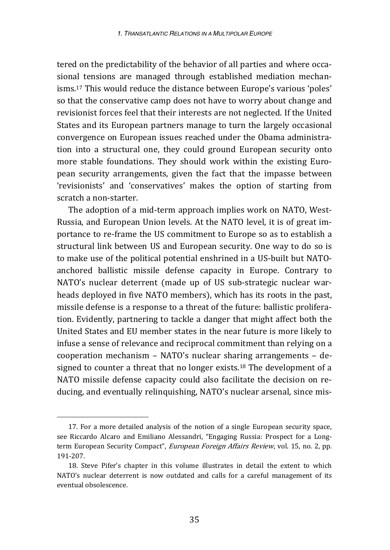tered on the predictability of the behavior of all parties and where occasional tensions are managed through established mediation mechanisms.17 This would reduce the distance between Europe's various 'poles' so that the conservative camp does not have to worry about change and revisionist forces feel that their interests are not neglected. If the United States and its European partners manage to turn the largely occasional convergence on European issues reached under the Obama administration into a structural one, they could ground European security onto more stable foundations. They should work within the existing European security arrangements, given the fact that the impasse between 'revisionists' and 'conservatives' makes the option of starting from scratch a non-starter.

The adoption of a mid-term approach implies work on NATO, West-Russia, and European Union levels. At the NATO level, it is of great importance to re-frame the US commitment to Europe so as to establish a structural link between US and European security. One way to do so is to make use of the political potential enshrined in a US-built but NATOanchored ballistic missile defense capacity in Europe. Contrary to NATO's nuclear deterrent (made up of US sub-strategic nuclear warheads deployed in five NATO members), which has its roots in the past, missile defense is a response to a threat of the future: ballistic proliferation. Evidently, partnering to tackle a danger that might affect both the United States and EU member states in the near future is more likely to infuse a sense of relevance and reciprocal commitment than relying on a cooperation mechanism – NATO's nuclear sharing arrangements – designed to counter a threat that no longer exists.18 The development of a NATO missile defense capacity could also facilitate the decision on reducing, and eventually relinquishing, NATO's nuclear arsenal, since mis-

<sup>17.</sup> For a more detailed analysis of the notion of a single European security space, see Riccardo Alcaro and Emiliano Alessandri, "Engaging Russia: Prospect for a Longterm European Security Compact", European Foreign Affairs Review, vol. 15, no. 2, pp. 191-207.

<sup>18.</sup> Steve Pifer's chapter in this volume illustrates in detail the extent to which NATO's nuclear deterrent is now outdated and calls for a careful management of its eventual obsolescence.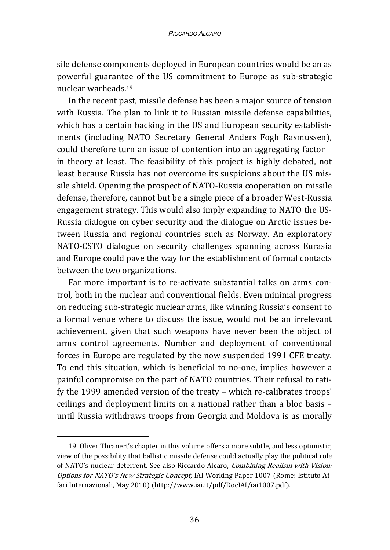sile defense components deployed in European countries would be an as powerful guarantee of the US commitment to Europe as sub-strategic nuclear warheads.19

In the recent past, missile defense has been a major source of tension with Russia. The plan to link it to Russian missile defense capabilities, which has a certain backing in the US and European security establishments (including NATO Secretary General Anders Fogh Rasmussen), could therefore turn an issue of contention into an aggregating factor – in theory at least. The feasibility of this project is highly debated, not least because Russia has not overcome its suspicions about the US missile shield. Opening the prospect of NATO-Russia cooperation on missile defense, therefore, cannot but be a single piece of a broader West-Russia engagement strategy. This would also imply expanding to NATO the US-Russia dialogue on cyber security and the dialogue on Arctic issues between Russia and regional countries such as Norway. An exploratory NATO-CSTO dialogue on security challenges spanning across Eurasia and Europe could pave the way for the establishment of formal contacts between the two organizations.

Far more important is to re-activate substantial talks on arms control, both in the nuclear and conventional fields. Even minimal progress on reducing sub-strategic nuclear arms, like winning Russia's consent to a formal venue where to discuss the issue, would not be an irrelevant achievement, given that such weapons have never been the object of arms control agreements. Number and deployment of conventional forces in Europe are regulated by the now suspended 1991 CFE treaty. To end this situation, which is beneficial to no-one, implies however a painful compromise on the part of NATO countries. Their refusal to ratify the 1999 amended version of the treaty – which re-calibrates troops' ceilings and deployment limits on a national rather than a bloc basis – until Russia withdraws troops from Georgia and Moldova is as morally

<sup>19.</sup> Oliver Thranert's chapter in this volume offers a more subtle, and less optimistic, view of the possibility that ballistic missile defense could actually play the political role of NATO's nuclear deterrent. See also Riccardo Alcaro, Combining Realism with Vision: Options for NATO's New Strategic Concept, IAI Working Paper 1007 (Rome: Istituto Affari Internazionali, May 2010) (http://www.iai.it/pdf/DocIAI/iai1007.pdf).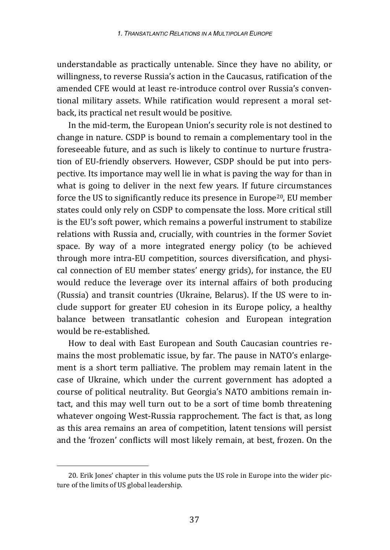understandable as practically untenable. Since they have no ability, or willingness, to reverse Russia's action in the Caucasus, ratification of the amended CFE would at least re-introduce control over Russia's conventional military assets. While ratification would represent a moral setback, its practical net result would be positive.

In the mid-term, the European Union's security role is not destined to change in nature. CSDP is bound to remain a complementary tool in the foreseeable future, and as such is likely to continue to nurture frustration of EU-friendly observers. However, CSDP should be put into perspective. Its importance may well lie in what is paving the way for than in what is going to deliver in the next few years. If future circumstances force the US to significantly reduce its presence in Europe20, EU member states could only rely on CSDP to compensate the loss. More critical still is the EU's soft power, which remains a powerful instrument to stabilize relations with Russia and, crucially, with countries in the former Soviet space. By way of a more integrated energy policy (to be achieved through more intra-EU competition, sources diversification, and physical connection of EU member states' energy grids), for instance, the EU would reduce the leverage over its internal affairs of both producing (Russia) and transit countries (Ukraine, Belarus). If the US were to include support for greater EU cohesion in its Europe policy, a healthy balance between transatlantic cohesion and European integration would be re-established.

How to deal with East European and South Caucasian countries remains the most problematic issue, by far. The pause in NATO's enlargement is a short term palliative. The problem may remain latent in the case of Ukraine, which under the current government has adopted a course of political neutrality. But Georgia's NATO ambitions remain intact, and this may well turn out to be a sort of time bomb threatening whatever ongoing West-Russia rapprochement. The fact is that, as long as this area remains an area of competition, latent tensions will persist and the 'frozen' conflicts will most likely remain, at best, frozen. On the

<sup>20.</sup> Erik Jones' chapter in this volume puts the US role in Europe into the wider picture of the limits of US global leadership.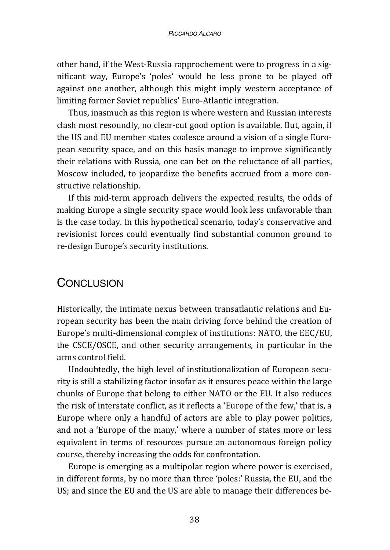other hand, if the West-Russia rapprochement were to progress in a significant way, Europe's 'poles' would be less prone to be played off against one another, although this might imply western acceptance of limiting former Soviet republics' Euro-Atlantic integration.

Thus, inasmuch as this region is where western and Russian interests clash most resoundly, no clear-cut good option is available. But, again, if the US and EU member states coalesce around a vision of a single European security space, and on this basis manage to improve significantly their relations with Russia, one can bet on the reluctance of all parties, Moscow included, to jeopardize the benefits accrued from a more constructive relationship.

If this mid-term approach delivers the expected results, the odds of making Europe a single security space would look less unfavorable than is the case today. In this hypothetical scenario, today's conservative and revisionist forces could eventually find substantial common ground to re-design Europe's security institutions.

# CONCLUSION

Historically, the intimate nexus between transatlantic relations and European security has been the main driving force behind the creation of Europe's multi-dimensional complex of institutions: NATO, the EEC/EU, the CSCE/OSCE, and other security arrangements, in particular in the arms control field.

Undoubtedly, the high level of institutionalization of European security is still a stabilizing factor insofar as it ensures peace within the large chunks of Europe that belong to either NATO or the EU. It also reduces the risk of interstate conflict, as it reflects a 'Europe of the few,' that is, a Europe where only a handful of actors are able to play power politics, and not a 'Europe of the many,' where a number of states more or less equivalent in terms of resources pursue an autonomous foreign policy course, thereby increasing the odds for confrontation.

Europe is emerging as a multipolar region where power is exercised, in different forms, by no more than three 'poles:' Russia, the EU, and the US; and since the EU and the US are able to manage their differences be